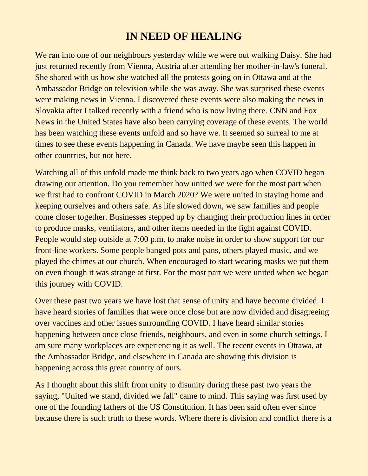## **IN NEED OF HEALING**

We ran into one of our neighbours yesterday while we were out walking Daisy. She had just returned recently from Vienna, Austria after attending her mother-in-law's funeral. She shared with us how she watched all the protests going on in Ottawa and at the Ambassador Bridge on television while she was away. She was surprised these events were making news in Vienna. I discovered these events were also making the news in Slovakia after I talked recently with a friend who is now living there. CNN and Fox News in the United States have also been carrying coverage of these events. The world has been watching these events unfold and so have we. It seemed so surreal to me at times to see these events happening in Canada. We have maybe seen this happen in other countries, but not here.

Watching all of this unfold made me think back to two years ago when COVID began drawing our attention. Do you remember how united we were for the most part when we first had to confront COVID in March 2020? We were united in staying home and keeping ourselves and others safe. As life slowed down, we saw families and people come closer together. Businesses stepped up by changing their production lines in order to produce masks, ventilators, and other items needed in the fight against COVID. People would step outside at 7:00 p.m. to make noise in order to show support for our front-line workers. Some people banged pots and pans, others played music, and we played the chimes at our church. When encouraged to start wearing masks we put them on even though it was strange at first. For the most part we were united when we began this journey with COVID.

Over these past two years we have lost that sense of unity and have become divided. I have heard stories of families that were once close but are now divided and disagreeing over vaccines and other issues surrounding COVID. I have heard similar stories happening between once close friends, neighbours, and even in some church settings. I am sure many workplaces are experiencing it as well. The recent events in Ottawa, at the Ambassador Bridge, and elsewhere in Canada are showing this division is happening across this great country of ours.

As I thought about this shift from unity to disunity during these past two years the saying, "United we stand, divided we fall" came to mind. This saying was first used by one of the founding fathers of the US Constitution. It has been said often ever since because there is such truth to these words. Where there is division and conflict there is a